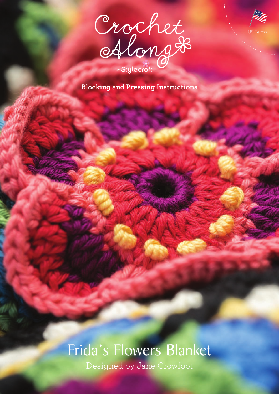



**Blocking and Pressing Instructions**

# Frida's Flowers Blanket

Designed by Jane Crowfoot